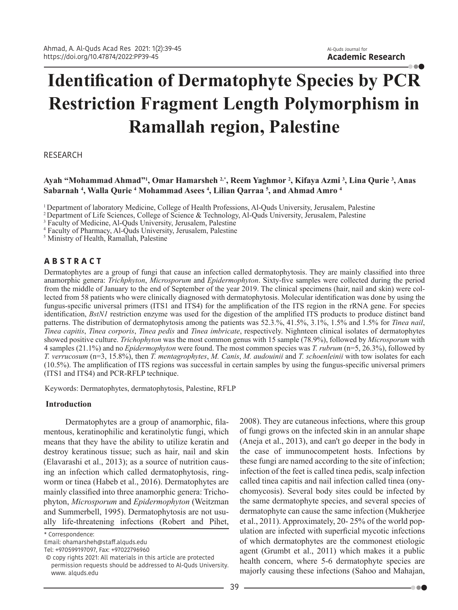# **Identification of Dermatophyte Species by PCR Restriction Fragment Length Polymorphism in Ramallah region, Palestine**

RESEARCH

# **Ayah "Mohammad Ahmad"1 , Omar Hamarsheh 2,\*, Reem Yaghmor <sup>2</sup> , Kifaya Azmi <sup>3</sup> , Lina Qurie <sup>3</sup> , Anas Sabarnah <sup>4</sup> , Walla Qurie 4 Mohammad Asees <sup>4</sup> , Lilian Qarraa 5 , and Ahmad Amro <sup>4</sup>**

<sup>1</sup> Department of laboratory Medicine, College of Health Professions, Al-Quds University, Jerusalem, Palestine

2 Department of Life Sciences, College of Science & Technology, Al-Quds University, Jerusalem, Palestine

3 Faculty of Medicine, Al-Quds University, Jerusalem, Palestine

4 Faculty of Pharmacy, Al-Quds University, Jerusalem, Palestine

5 Ministry of Health, Ramallah, Palestine

# **A B S T R A C T**

Dermatophytes are a group of fungi that cause an infection called dermatophytosis. They are mainly classified into three anamorphic genera: *Trichphyton*, *Microsporum* and *Epidermophyton*. Sixty-five samples were collected during the period from the middle of January to the end of September of the year 2019. The clinical specimens (hair, nail and skin) were collected from 58 patients who were clinically diagnosed with dermatophytosis. Molecular identification was done by using the fungus-specific universal primers (ITS1 and ITS4) for the amplification of the ITS region in the rRNA gene. For species identification, *BstN1* restriction enzyme was used for the digestion of the amplified ITS products to produce distinct band patterns. The distribution of dermatophytosis among the patients was 52.3.%, 41.5%, 3.1%, 1.5% and 1.5% for *Tinea nail*, *Tinea capitis*, *Tinea corporis*, *Tinea pedis* and *Tinea imbricate*, respectively. Nighnteen clinical isolates of dermatophytes showed positive culture. *Trichophyton* was the most common genus with 15 sample (78.9%), followed by *Microsporum* with 4 samples (21.1%) and no *Epidermophyton* were found. The most common species was *T. rubrum* (n=5, 26.3%), followed by *T. verrucosum* (n=3, 15.8%), then *T. mentagrophytes*, *M. Canis*, *M. audouinii* and *T. schoenleinii* with tow isolates for each (10.5%). The amplification of ITS regions was successful in certain samples by using the fungus-specific universal primers (ITS1 and ITS4) and PCR-RFLP technique.

Keywords: Dermatophytes, dermatophytosis, Palestine, RFLP

## **Introduction**

Dermatophytes are a group of anamorphic, filamentous, keratinophilic and keratinolytic fungi, which means that they have the ability to utilize keratin and destroy keratinous tissue; such as hair, nail and skin (Elavarashi et al., 2013); as a source of nutrition causing an infection which called dermatophytosis, ringworm or tinea (Habeb et al., 2016). Dermatophytes are mainly classified into three anamorphic genera: Trichophyton, *Microsporum* and *Epidermophyton* (Weitzman and Summerbell, 1995). Dermatophytosis are not usually life-threatening infections (Robert and Pihet,

\* Correspondence:

Email: ohamarsheh@staff.alquds.edu

Tel: +970599197097, Fax: +97022796960

2008). They are cutaneous infections, where this group of fungi grows on the infected skin in an annular shape (Aneja et al., 2013), and can't go deeper in the body in the case of immunocompetent hosts. Infections by these fungi are named according to the site of infection; infection of the feet is called tinea pedis, scalp infection called tinea capitis and nail infection called tinea (onychomycosis). Several body sites could be infected by the same dermatophyte species, and several species of dermatophyte can cause the same infection (Mukherjee et al., 2011). Approximately, 20- 25% of the world population are infected with superficial mycotic infections of which dermatophytes are the commonest etiologic agent (Grumbt et al., 2011) which makes it a public health concern, where 5-6 dermatophyte species are majorly causing these infections (Sahoo and Mahajan,

. . .

 <sup>©</sup> copy rights 2021: All materials in this article are protected permission requests should be addressed to Al-Quds University. www. alquds.edu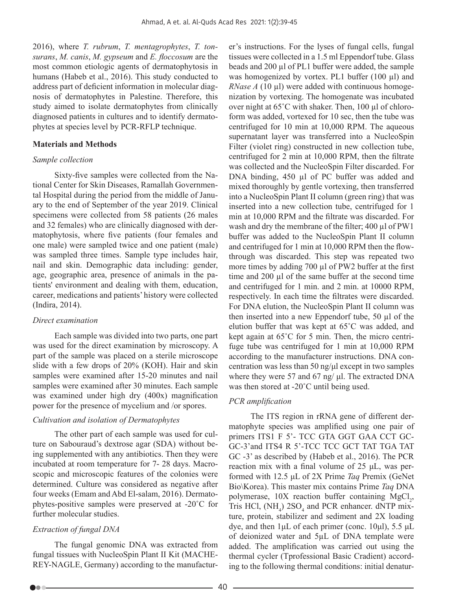2016), where *T. rubrum*, *T. mentagrophytes*, *T. tonsurans*, *M. canis*, *M. gypseum* and *E. floccosum* are the most common etiologic agents of dermatophytosis in humans (Habeb et al., 2016). This study conducted to address part of deficient information in molecular diagnosis of dermatophytes in Palestine. Therefore, this study aimed to isolate dermatophytes from clinically diagnosed patients in cultures and to identify dermatophytes at species level by PCR-RFLP technique.

#### **Materials and Methods**

#### *Sample collection*

Sixty-five samples were collected from the National Center for Skin Diseases, Ramallah Governmental Hospital during the period from the middle of January to the end of September of the year 2019. Clinical specimens were collected from 58 patients (26 males and 32 females) who are clinically diagnosed with dermatophytosis, where five patients (four females and one male) were sampled twice and one patient (male) was sampled three times. Sample type includes hair, nail and skin. Demographic data including: gender, age, geographic area, presence of animals in the patients' environment and dealing with them, education, career, medications and patients' history were collected (Indira, 2014).

#### *Direct examination*

Each sample was divided into two parts, one part was used for the direct examination by microscopy. A part of the sample was placed on a sterile microscope slide with a few drops of 20% (KOH). Hair and skin samples were examined after 15-20 minutes and nail samples were examined after 30 minutes. Each sample was examined under high dry (400x) magnification power for the presence of mycelium and /or spores.

#### *Cultivation and isolation of Dermatophytes*

The other part of each sample was used for culture on Sabouraud's dextrose agar (SDA) without being supplemented with any antibiotics. Then they were incubated at room temperature for 7- 28 days. Macroscopic and microscopic features of the colonies were determined. Culture was considered as negative after four weeks (Emam and Abd El-salam, 2016). Dermatophytes-positive samples were preserved at -20˚C for further molecular studies.

#### *Extraction of fungal DNA*

The fungal genomic DNA was extracted from fungal tissues with NucleoSpin Plant II Kit (MACHE-REY-NAGLE, Germany) according to the manufacturer's instructions. For the lyses of fungal cells, fungal tissues were collected in a 1.5 ml Eppendorf tube. Glass beads and 200 µl of PL1 buffer were added, the sample was homogenized by vortex. PL1 buffer (100 µl) and *RNase A* (10 µl) were added with continuous homogenization by vortexing. The homogenate was incubated over night at 65˚C with shaker. Then, 100 µl of chloroform was added, vortexed for 10 sec, then the tube was centrifuged for 10 min at 10,000 RPM. The aqueous supernatant layer was transferred into a NucleoSpin Filter (violet ring) constructed in new collection tube, centrifuged for 2 min at 10,000 RPM, then the filtrate was collected and the NucleoSpin Filter discarded. For DNA binding, 450 µl of PC buffer was added and mixed thoroughly by gentle vortexing, then transferred into a NucleoSpin Plant II column (green ring) that was inserted into a new collection tube, centrifuged for 1 min at 10,000 RPM and the filtrate was discarded. For wash and dry the membrane of the filter; 400 µl of PW1 buffer was added to the NucleoSpin Plant II column and centrifuged for 1 min at 10,000 RPM then the flowthrough was discarded. This step was repeated two more times by adding 700 µl of PW2 buffer at the first time and 200 µl of the same buffer at the second time and centrifuged for 1 min. and 2 min. at 10000 RPM, respectively. In each time the filtrates were discarded. For DNA elution, the NucleoSpin Plant II column was then inserted into a new Eppendorf tube, 50 µl of the elution buffer that was kept at 65˚C was added, and kept again at 65˚C for 5 min. Then, the micro centrifuge tube was centrifuged for 1 min at 10,000 RPM according to the manufacturer instructions. DNA concentration was less than 50 ng/μl except in two samples where they were 57 and 67 ng/ μl. The extracted DNA was then stored at -20˚C until being used.

#### *PCR amplification*

The ITS region in rRNA gene of different dermatophyte species was amplified using one pair of primers ITS1 F 5'- TCC GTA GGT GAA CCT GC-GC-3'and ITS4 R 5'-TCC TCC GCT TAT TGA TAT GC -3' as described by (Habeb et al., 2016). The PCR reaction mix with a final volume of 25 μL, was performed with 12.5 μL of 2X Prime *Taq* Premix (GeNet Bio\Korea). This master mix contains Prime *Taq* DNA polymerase, 10X reaction buffer containing MgCl<sub>2</sub>, Tris HCl,  $(NH_4)$  2SO<sub>4</sub> and PCR enhancer. dNTP mixture, protein, stabilizer and sediment and 2X loading dye, and then 1μL of each primer (conc. 10μl), 5.5 μL of deionized water and 5µL of DNA template were added. The amplification was carried out using the thermal cycler (Tprofessional Basic Cradient) according to the following thermal conditions: initial denatur-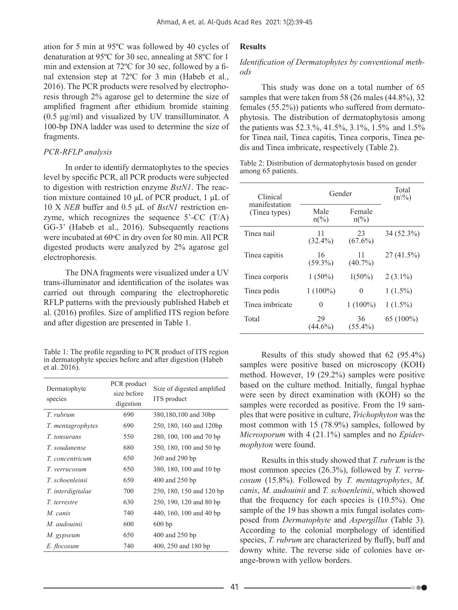ation for 5 min at 95ºC was followed by 40 cycles of denaturation at 95ºC for 30 sec, annealing at 58ºC for 1 min and extension at 72ºC for 30 sec, followed by a final extension step at 72ºC for 3 min (Habeb et al., 2016). The PCR products were resolved by electrophoresis through 2% agarose gel to determine the size of amplified fragment after ethidium bromide staining (0.5 μg/ml) and visualized by UV transilluminator. A 100-bp DNA ladder was used to determine the size of fragments.

## *PCR-RFLP analysis*

In order to identify dermatophytes to the species level by specific PCR, all PCR products were subjected to digestion with restriction enzyme *BstN1*. The reaction mixture contained 10 μL of PCR product, 1 μL of 10 X *NEB* buffer and 0.5 μL of *BstN1* restriction enzyme, which recognizes the sequence 5'-CC (T/A) GG-3' (Habeb et al., 2016). Subsequently reactions were incubated at 60°C in dry oven for 80 min. All PCR digested products were analyzed by 2% agarose gel electrophoresis.

The DNA fragments were visualized under a UV trans-illuminator and identification of the isolates was carried out through comparing the electrophoretic RFLP patterns with the previously published Habeb et al. (2016) profiles. Size of amplified ITS region before and after digestion are presented in Table 1.

Table 1: The profile regarding to PCR product of ITS region in dermatophyte species before and after digestion (Habeb et al. 2016).

| Dermatophyte<br>species | PCR product<br>size before<br>digestion | Size of digested amplified<br>ITS product |
|-------------------------|-----------------------------------------|-------------------------------------------|
| T. ruhrum               | 690                                     | 380,180,100 and 30bp                      |
| T. mentagrophytes       | 690                                     | 250, 180, 160 and 120bp                   |
| <i>T. tonsurans</i>     | 550                                     | 280, 100, 100 and 70 bp                   |
| T. soudanense           | 680                                     | 350, 180, 100 and 50 bp                   |
| T. concentricum         | 650                                     | 360 and 290 bp                            |
| T. verrucosum           | 650                                     | 380, 180, 100 and 10 bp                   |
| T. schoenleinii         | 650                                     | 400 and 250 bp                            |
| T. interdigitalae       | 700                                     | 250, 180, 150 and 120 bp                  |
| T. terrestre            | 630                                     | 250, 190, 120 and 80 bp                   |
| M. canis                | 740                                     | 440, 160, 100 and 40 bp                   |
| M. audouinii            | 600                                     | 600bp                                     |
| M. gypseum              | 650                                     | 400 and 250 bp                            |
| E. flocosum             | 740                                     | 400, 250 and 180 bp                       |

# **Results**

## *Identification of Dermatophytes by conventional methods*

This study was done on a total number of 65 samples that were taken from 58 (26 males (44.8%), 32 females (55.2%)) patients who suffered from dermatophytosis. The distribution of dermatophytosis among the patients was 52.3.%, 41.5%, 3.1%, 1.5% and 1.5% for Tinea nail, Tinea capitis, Tinea corporis, Tinea pedis and Tinea imbricate, respectively (Table 2).

Table 2: Distribution of dermatophytosis based on gender among 65 patients.

| Clinical<br>manifestation<br>(Tinea types) | Gender                           |                          | Total<br>$(n\%)$ |
|--------------------------------------------|----------------------------------|--------------------------|------------------|
|                                            | Male<br>$n\frac{\frac{6}{2}}{6}$ | Female<br>$n\frac{0}{0}$ |                  |
| Tinea nail                                 | 11<br>$(32.4\%)$                 | 23<br>$(67.6\%)$         | 34 (52.3%)       |
| Tinea capitis                              | 16<br>$(59.3\%)$                 | 11<br>$(40.7\%)$         | 27(41.5%)        |
| Tinea corporis                             | $1(50\%)$                        | $1(50\%)$                | $2(3.1\%)$       |
| Tinea pedis                                | $1(100\%)$                       | 0                        | $1(1.5\%)$       |
| Tinea imbricate                            | 0                                | $1(100\%)$               | $1(1.5\%)$       |
| Total                                      | 29<br>$(44.6\%)$                 | 36<br>$(55.4\%)$         | 65 (100%)        |

Results of this study showed that 62 (95.4%) samples were positive based on microscopy (KOH) method. However, 19 (29.2%) samples were positive based on the culture method. Initially, fungal hyphae were seen by direct examination with (KOH) so the samples were recorded as positive. From the 19 samples that were positive in culture, *Trichophyton* was the most common with 15 (78.9%) samples, followed by *Microsporum* with 4 (21.1%) samples and no *Epidermophyton* were found.

Results in this study showed that *T. rubrum* is the most common species (26.3%), followed by *T. verrucosum* (15.8%). Followed by *T. mentagrophytes*, *M. canis*, *M. audouinii* and *T. schoenleinii*, which showed that the frequency for each species is (10.5%). One sample of the 19 has shown a mix fungal isolates composed from *Dermatophyte* and *Aspergillus* (Table 3). According to the colonial morphology of identified species, *T. rubrum* are characterized by fluffy, buff and downy white. The reverse side of colonies have orange-brown with yellow borders.

...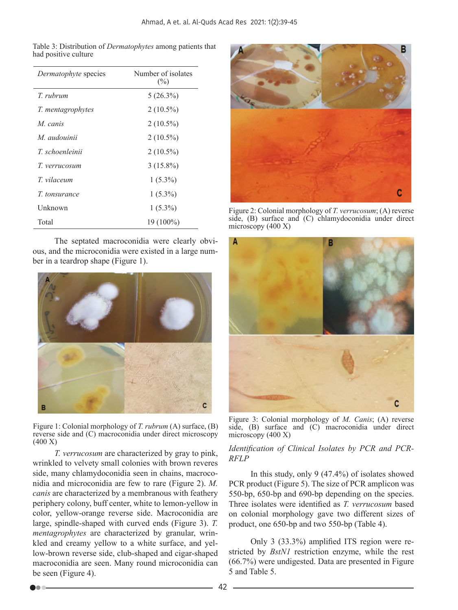Table 3: Distribution of *Dermatophytes* among patients that had positive culture

| Dermatophyte species | Number of isolates<br>$(\%)$ |
|----------------------|------------------------------|
| T ruhrum             | $5(26.3\%)$                  |
| T. mentagrophytes    | $2(10.5\%)$                  |
| M canis              | $2(10.5\%)$                  |
| M. audouinii         | $2(10.5\%)$                  |
| T. schoenleinii      | $2(10.5\%)$                  |
| T. verrucosum        | $3(15.8\%)$                  |
| T vilaceum           | $1(5.3\%)$                   |
| <i>T.</i> tonsurance | $1(5.3\%)$                   |
| Unknown              | $1(5.3\%)$                   |
| Total                | 19 (100%)                    |

The septated macroconidia were clearly obvious, and the microconidia were existed in a large number in a teardrop shape (Figure 1).



Figure 1: Colonial morphology of *T. rubrum* (A) surface, (B) reverse side and (C) macroconidia under direct microscopy (400 X)

*T. verrucosum* are characterized by gray to pink, wrinkled to velvety small colonies with brown reveres side, many chlamydoconidia seen in chains, macroconidia and microconidia are few to rare (Figure 2). *M. canis* are characterized by a membranous with feathery periphery colony, buff center, white to lemon-yellow in color, yellow-orange reverse side. Macroconidia are large, spindle-shaped with curved ends (Figure 3). *T. mentagrophytes* are characterized by granular, wrinkled and creamy yellow to a white surface, and yellow-brown reverse side, club-shaped and cigar-shaped macroconidia are seen. Many round microconidia can be seen (Figure 4).



Figure 2: Colonial morphology of *T. verrucosum*; (A) reverse side, (B) surface and (C) chlamydoconidia under direct microscopy (400 X)



Figure 3: Colonial morphology of *M. Canis*; (A) reverse side, (B) surface and (C) macroconidia under direct microscopy (400 X)

### Identification of Clinical Isolates by PCR and PCR-*RFLP*

In this study, only 9 (47.4%) of isolates showed PCR product (Figure 5). The size of PCR amplicon was 550-bp, 650-bp and 690-bp depending on the species. Three isolates were identified as *T. verrucosum* based on colonial morphology gave two different sizes of product, one 650-bp and two 550-bp (Table 4).

Only 3 (33.3%) amplified ITS region were restricted by *BstN1* restriction enzyme, while the rest (66.7%) were undigested. Data are presented in Figure 5 and Table 5.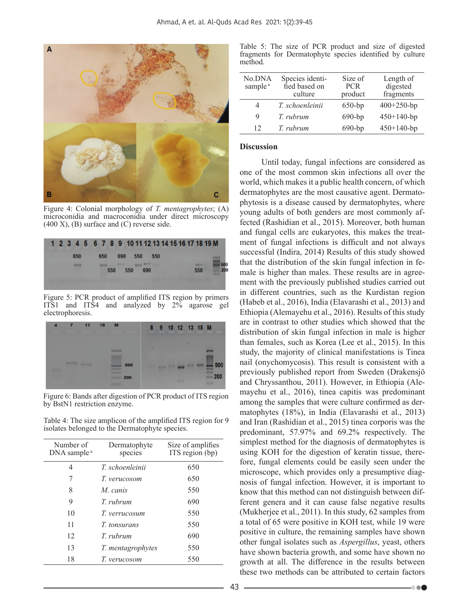

Figure 4: Colonial morphology of *T. mentagrophytes*; (A) microconidia and macroconidia under direct microscopy  $(400 \text{ X})$ ,  $(B)$  surface and  $(C)$  reverse side.



Figure 5: PCR product of amplified ITS region by primers ITS1 and ITS4 and analyzed by 2% agarose gel electrophoresis.



Figure 6: Bands after digestion of PCR product of ITS region by BstN1 restriction enzyme.

Table 4: The size amplicon of the amplified ITS region for 9 isolates belonged to the Dermatophyte species.

| Number of<br>DNA sample <sup>a</sup> | Dermatophyte<br>species | Size of amplifies<br>ITS region (bp) |
|--------------------------------------|-------------------------|--------------------------------------|
| 4                                    | T schoenleinii          | 650                                  |
|                                      | T. verucosom            | 650                                  |
| 8                                    | M canis                 | 550                                  |
| 9                                    | $T$ ruhrum              | 690                                  |
| 10                                   | T. verrucosum           | 550                                  |
| 11                                   | <i>T. tonsurans</i>     | 550                                  |
| 12                                   | T ruhrum                | 690                                  |
| 13                                   | T. mentagrophytes       | 550                                  |
| 18                                   | T. verucosom            | 550                                  |

Table 5: The size of PCR product and size of digested fragments for Dermatophyte species identified by culture method.

| No.DNA<br>sample <sup>a</sup> | Species identi-<br>fied based on<br>culture | Size of<br><b>PCR</b><br>product | Length of<br>digested<br>fragments |
|-------------------------------|---------------------------------------------|----------------------------------|------------------------------------|
| 4                             | T. schoenleinii                             | $650$ -bp                        | $400+250$ -bp                      |
| 9                             | T. rubrum                                   | $690$ -bp                        | $450+140$ -bp                      |
| 12                            | T. rubrum                                   | $690$ -bp                        | $450+140$ -bp                      |

#### **Discussion**

Until today, fungal infections are considered as one of the most common skin infections all over the world, which makes it a public health concern, of which dermatophytes are the most causative agent. Dermatophytosis is a disease caused by dermatophytes, where young adults of both genders are most commonly affected (Rashidian et al., 2015). Moreover, both human and fungal cells are eukaryotes, this makes the treatment of fungal infections is difficult and not always successful (Indira, 2014) Results of this study showed that the distribution of the skin fungal infection in female is higher than males. These results are in agreement with the previously published studies carried out in different countries, such as the Kurdistan region (Habeb et al., 2016), India (Elavarashi et al., 2013) and Ethiopia (Alemayehu et al., 2016). Results of this study are in contrast to other studies which showed that the distribution of skin fungal infection in male is higher than females, such as Korea (Lee et al., 2015). In this study, the majority of clinical manifestations is Tinea nail (onychomycosis). This result is consistent with a previously published report from Sweden (Drakensjö and Chryssanthou, 2011). However, in Ethiopia (Alemayehu et al., 2016), tinea capitis was predominant among the samples that were culture confirmed as dermatophytes (18%), in India (Elavarashi et al., 2013) and Iran (Rashidian et al., 2015) tinea corporis was the predominant, 57.97% and 69.2% respectively. The simplest method for the diagnosis of dermatophytes is using KOH for the digestion of keratin tissue, therefore, fungal elements could be easily seen under the microscope, which provides only a presumptive diagnosis of fungal infection. However, it is important to know that this method can not distinguish between different genera and it can cause false negative results (Mukherjee et al., 2011). In this study, 62 samples from a total of 65 were positive in KOH test, while 19 were positive in culture, the remaining samples have shown other fungal isolates such as *Aspergillus*, yeast, others have shown bacteria growth, and some have shown no growth at all. The difference in the results between these two methods can be attributed to certain factors

**DOC**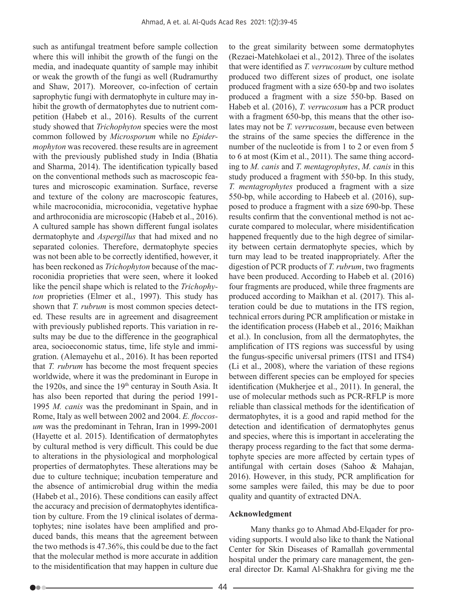such as antifungal treatment before sample collection where this will inhibit the growth of the fungi on the media, and inadequate quantity of sample may inhibit or weak the growth of the fungi as well (Rudramurthy and Shaw, 2017). Moreover, co-infection of certain saprophytic fungi with dermatophyte in culture may inhibit the growth of dermatophytes due to nutrient competition (Habeb et al., 2016). Results of the current study showed that *Trichophyton* species were the most common followed by *Microsporum* while no *Epidermophyton* was recovered. these results are in agreement with the previously published study in India (Bhatia and Sharma, 2014). The identification typically based on the conventional methods such as macroscopic features and microscopic examination. Surface, reverse and texture of the colony are macroscopic features, while macroconidia, microconidia, vegetative hyphae and arthroconidia are microscopic (Habeb et al., 2016). A cultured sample has shown different fungal isolates dermatophyte and *Aspergillus* that had mixed and no separated colonies. Therefore, dermatophyte species was not been able to be correctly identified, however, it has been reckoned as *Trichophyton* because of the macroconidia proprieties that were seen, where it looked like the pencil shape which is related to the *Trichophyton* proprieties (Elmer et al., 1997). This study has shown that *T. rubrum* is most common species detected. These results are in agreement and disagreement with previously published reports. This variation in results may be due to the difference in the geographical area, socioeconomic status, time, life style and immigration. (Alemayehu et al., 2016). It has been reported that *T. rubrum* has become the most frequent species worldwide, where it was the predominant in Europe in the 1920s, and since the  $19<sup>th</sup>$  centuray in South Asia. It has also been reported that during the period 1991- 1995 *M. canis* was the predominant in Spain, and in Rome, Italy as well between 2002 and 2004. *E. floccosum* was the predominant in Tehran, Iran in 1999-2001 (Hayette et al. 2015). Identification of dermatophytes by cultural method is very difficult. This could be due to alterations in the physiological and morphological properties of dermatophytes. These alterations may be due to culture technique; incubation temperature and the absence of antimicrobial drug within the media (Habeb et al., 2016). These conditions can easily affect the accuracy and precision of dermatophytes identification by culture. From the 19 clinical isolates of dermatophytes; nine isolates have been amplified and produced bands, this means that the agreement between the two methods is 47.36%, this could be due to the fact that the molecular method is more accurate in addition to the misidentification that may happen in culture due to the great similarity between some dermatophytes (Rezaei-Matehkolaei et al., 2012). Three of the isolates that were identified as *T. verrucosum* by culture method produced two different sizes of product, one isolate produced fragment with a size 650-bp and two isolates produced a fragment with a size 550-bp. Based on Habeb et al. (2016), *T. verrucosum* has a PCR product with a fragment 650-bp, this means that the other isolates may not be *T. verrucosum*, because even between the strains of the same species the difference in the number of the nucleotide is from 1 to 2 or even from 5 to 6 at most (Kim et al., 2011). The same thing according to *M. canis* and *T. mentagrophytes*, *M. canis* in this study produced a fragment with 550-bp. In this study, *T. mentagrophytes* produced a fragment with a size 550-bp, while according to Habeeb et al. (2016), supposed to produce a fragment with a size 690-bp. These results confirm that the conventional method is not accurate compared to molecular, where misidentification happened frequently due to the high degree of similarity between certain dermatophyte species, which by turn may lead to be treated inappropriately. After the digestion of PCR products of *T. rubrum*, two fragments have been produced. According to Habeb et al. (2016) four fragments are produced, while three fragments are produced according to Maikhan et al. (2017). This alteration could be due to mutations in the ITS region, technical errors during PCR amplification or mistake in the identification process (Habeb et al., 2016; Maikhan et al.). In conclusion, from all the dermatophytes, the amplification of ITS regions was successful by using the fungus-specific universal primers (ITS1 and ITS4) (Li et al., 2008), where the variation of these regions between different species can be employed for species identification (Mukherjee et al., 2011). In general, the use of molecular methods such as PCR-RFLP is more reliable than classical methods for the identification of dermatophytes, it is a good and rapid method for the detection and identification of dermatophytes genus and species, where this is important in accelerating the therapy process regarding to the fact that some dermatophyte species are more affected by certain types of antifungal with certain doses (Sahoo & Mahajan, 2016). However, in this study, PCR amplification for some samples were failed, this may be due to poor quality and quantity of extracted DNA.

#### **Acknowledgment**

Many thanks go to Ahmad Abd-Elqader for providing supports. I would also like to thank the National Center for Skin Diseases of Ramallah governmental hospital under the primary care management, the general director Dr. Kamal Al-Shakhra for giving me the